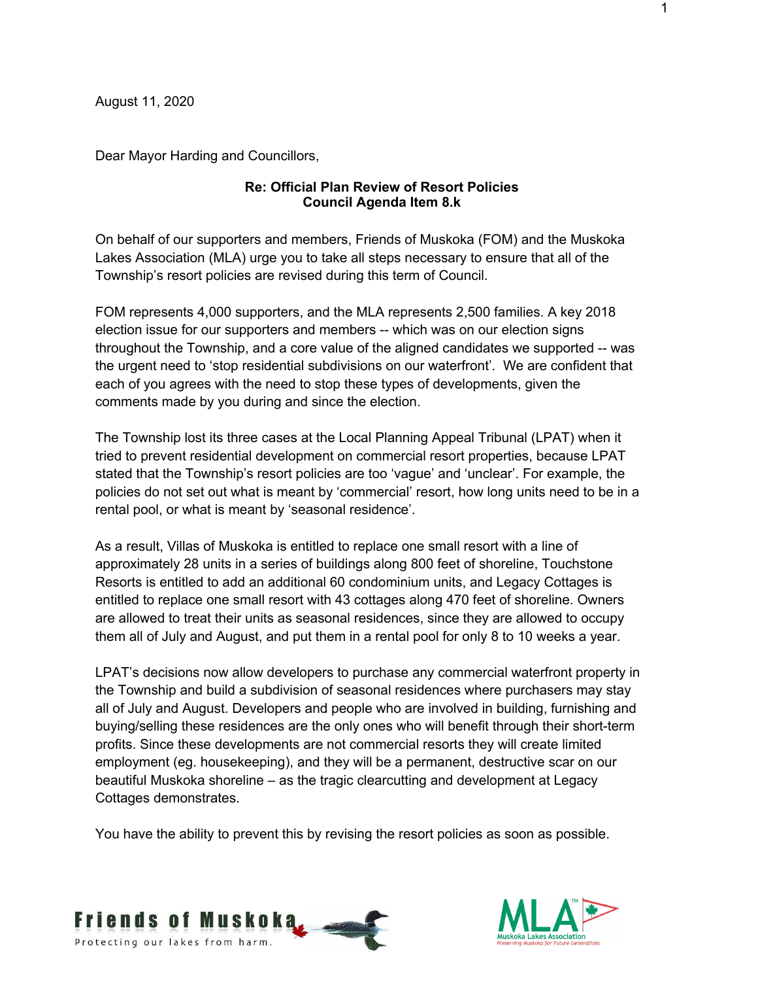August 11, 2020

Dear Mayor Harding and Councillors,

### **Re: Official Plan Review of Resort Policies Council Agenda Item 8.k**

On behalf of our supporters and members, Friends of Muskoka (FOM) and the Muskoka Lakes Association (MLA) urge you to take all steps necessary to ensure that all of the Township's resort policies are revised during this term of Council.

FOM represents 4,000 supporters, and the MLA represents 2,500 families. A key 2018 election issue for our supporters and members -- which was on our election signs throughout the Township, and a core value of the aligned candidates we supported -- was the urgent need to 'stop residential subdivisions on our waterfront'. We are confident that each of you agrees with the need to stop these types of developments, given the comments made by you during and since the election.

The Township lost its three cases at the Local Planning Appeal Tribunal (LPAT) when it tried to prevent residential development on commercial resort properties, because LPAT stated that the Township's resort policies are too 'vague' and 'unclear'. For example, the policies do not set out what is meant by 'commercial' resort, how long units need to be in a rental pool, or what is meant by 'seasonal residence'.

As a result, Villas of Muskoka is entitled to replace one small resort with a line of approximately 28 units in a series of buildings along 800 feet of shoreline, Touchstone Resorts is entitled to add an additional 60 condominium units, and Legacy Cottages is entitled to replace one small resort with 43 cottages along 470 feet of shoreline. Owners are allowed to treat their units as seasonal residences, since they are allowed to occupy them all of July and August, and put them in a rental pool for only 8 to 10 weeks a year.

LPAT's decisions now allow developers to purchase any commercial waterfront property in the Township and build a subdivision of seasonal residences where purchasers may stay all of July and August. Developers and people who are involved in building, furnishing and buying/selling these residences are the only ones who will benefit through their short-term profits. Since these developments are not commercial resorts they will create limited employment (eg. housekeeping), and they will be a permanent, destructive scar on our beautiful Muskoka shoreline – as the tragic clearcutting and development at Legacy Cottages demonstrates.

You have the ability to prevent this by revising the resort policies as soon as possible.



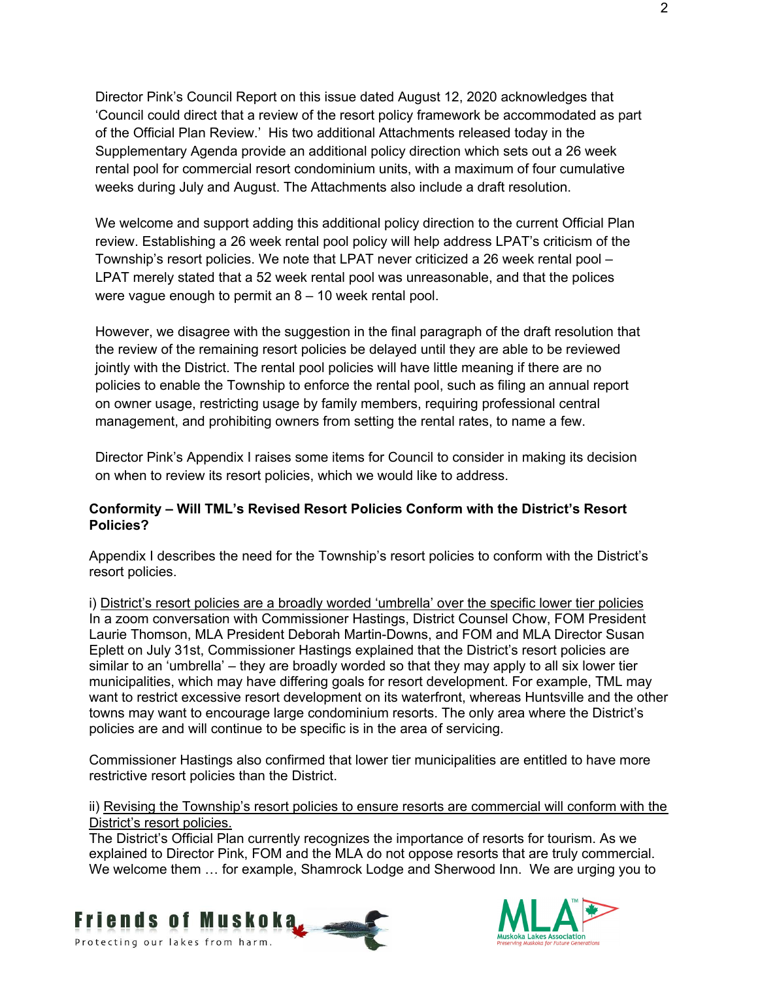Director Pink's Council Report on this issue dated August 12, 2020 acknowledges that 'Council could direct that a review of the resort policy framework be accommodated as part of the Official Plan Review.' His two additional Attachments released today in the Supplementary Agenda provide an additional policy direction which sets out a 26 week rental pool for commercial resort condominium units, with a maximum of four cumulative weeks during July and August. The Attachments also include a draft resolution.

We welcome and support adding this additional policy direction to the current Official Plan review. Establishing a 26 week rental pool policy will help address LPAT's criticism of the Township's resort policies. We note that LPAT never criticized a 26 week rental pool – LPAT merely stated that a 52 week rental pool was unreasonable, and that the polices were vague enough to permit an 8 – 10 week rental pool.

However, we disagree with the suggestion in the final paragraph of the draft resolution that the review of the remaining resort policies be delayed until they are able to be reviewed jointly with the District. The rental pool policies will have little meaning if there are no policies to enable the Township to enforce the rental pool, such as filing an annual report on owner usage, restricting usage by family members, requiring professional central management, and prohibiting owners from setting the rental rates, to name a few.

Director Pink's Appendix I raises some items for Council to consider in making its decision on when to review its resort policies, which we would like to address.

## **Conformity – Will TML's Revised Resort Policies Conform with the District's Resort Policies?**

Appendix I describes the need for the Township's resort policies to conform with the District's resort policies.

i) District's resort policies are a broadly worded 'umbrella' over the specific lower tier policies In a zoom conversation with Commissioner Hastings, District Counsel Chow, FOM President Laurie Thomson, MLA President Deborah Martin-Downs, and FOM and MLA Director Susan Eplett on July 31st, Commissioner Hastings explained that the District's resort policies are similar to an 'umbrella' – they are broadly worded so that they may apply to all six lower tier municipalities, which may have differing goals for resort development. For example, TML may want to restrict excessive resort development on its waterfront, whereas Huntsville and the other towns may want to encourage large condominium resorts. The only area where the District's policies are and will continue to be specific is in the area of servicing.

Commissioner Hastings also confirmed that lower tier municipalities are entitled to have more restrictive resort policies than the District.

ii) Revising the Township's resort policies to ensure resorts are commercial will conform with the District's resort policies.

The District's Official Plan currently recognizes the importance of resorts for tourism. As we explained to Director Pink, FOM and the MLA do not oppose resorts that are truly commercial. We welcome them … for example, Shamrock Lodge and Sherwood Inn. We are urging you to



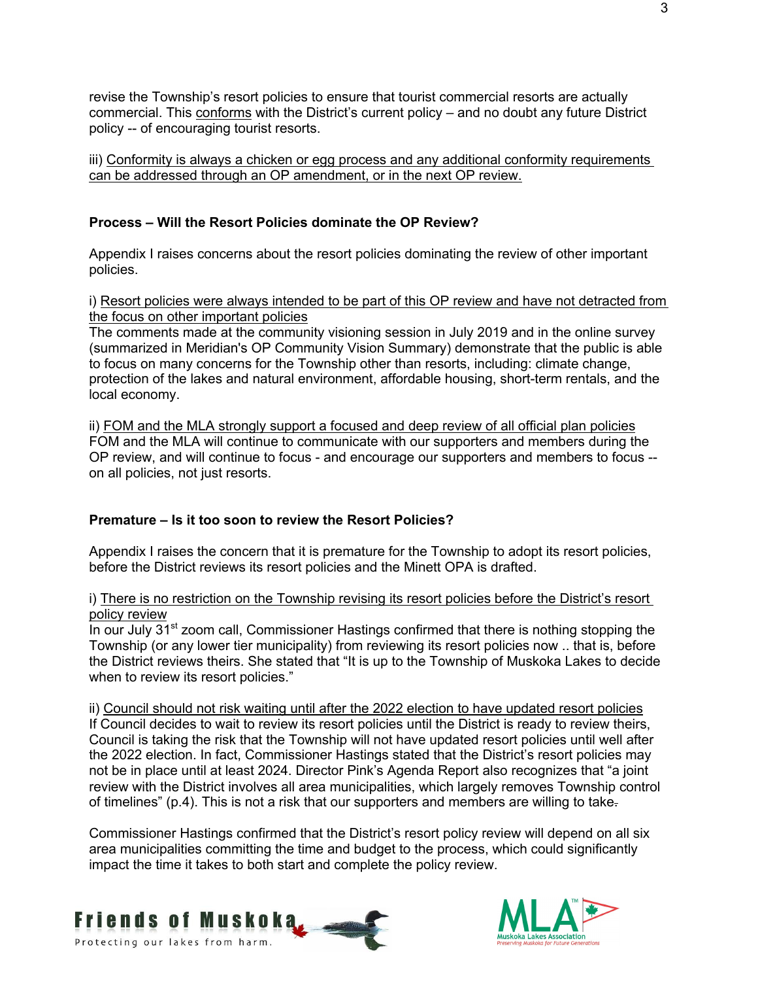revise the Township's resort policies to ensure that tourist commercial resorts are actually commercial. This conforms with the District's current policy – and no doubt any future District policy -- of encouraging tourist resorts.

iii) Conformity is always a chicken or egg process and any additional conformity requirements can be addressed through an OP amendment, or in the next OP review.

## **Process – Will the Resort Policies dominate the OP Review?**

Appendix I raises concerns about the resort policies dominating the review of other important policies.

i) Resort policies were always intended to be part of this OP review and have not detracted from the focus on other important policies

The comments made at the community visioning session in July 2019 and in the online survey (summarized in Meridian's OP Community Vision Summary) demonstrate that the public is able to focus on many concerns for the Township other than resorts, including: climate change, protection of the lakes and natural environment, affordable housing, short-term rentals, and the local economy.

ii) FOM and the MLA strongly support a focused and deep review of all official plan policies FOM and the MLA will continue to communicate with our supporters and members during the OP review, and will continue to focus - and encourage our supporters and members to focus - on all policies, not just resorts.

#### **Premature – Is it too soon to review the Resort Policies?**

Appendix I raises the concern that it is premature for the Township to adopt its resort policies, before the District reviews its resort policies and the Minett OPA is drafted.

#### i) There is no restriction on the Township revising its resort policies before the District's resort policy review

In our July  $31<sup>st</sup>$  zoom call, Commissioner Hastings confirmed that there is nothing stopping the Township (or any lower tier municipality) from reviewing its resort policies now .. that is, before the District reviews theirs. She stated that "It is up to the Township of Muskoka Lakes to decide when to review its resort policies."

ii) Council should not risk waiting until after the 2022 election to have updated resort policies If Council decides to wait to review its resort policies until the District is ready to review theirs, Council is taking the risk that the Township will not have updated resort policies until well after the 2022 election. In fact, Commissioner Hastings stated that the District's resort policies may not be in place until at least 2024. Director Pink's Agenda Report also recognizes that "a joint review with the District involves all area municipalities, which largely removes Township control of timelines" (p.4). This is not a risk that our supporters and members are willing to take-

Commissioner Hastings confirmed that the District's resort policy review will depend on all six area municipalities committing the time and budget to the process, which could significantly impact the time it takes to both start and complete the policy review.



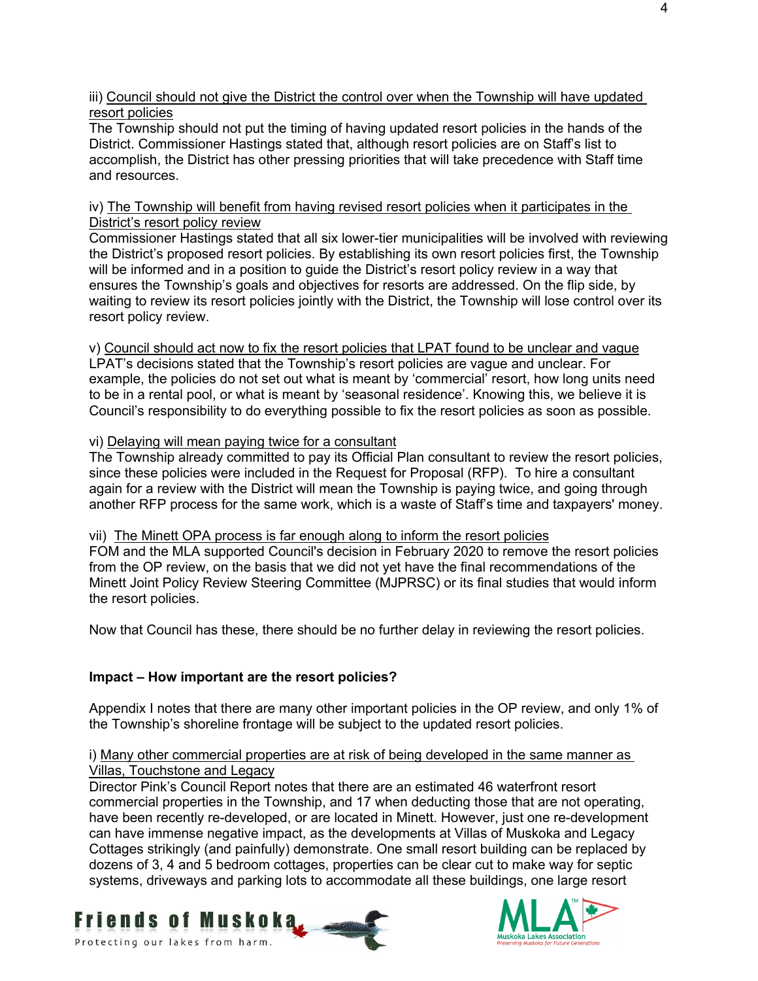iii) Council should not give the District the control over when the Township will have updated resort policies

The Township should not put the timing of having updated resort policies in the hands of the District. Commissioner Hastings stated that, although resort policies are on Staff's list to accomplish, the District has other pressing priorities that will take precedence with Staff time and resources.

iv) The Township will benefit from having revised resort policies when it participates in the District's resort policy review

Commissioner Hastings stated that all six lower-tier municipalities will be involved with reviewing the District's proposed resort policies. By establishing its own resort policies first, the Township will be informed and in a position to guide the District's resort policy review in a way that ensures the Township's goals and objectives for resorts are addressed. On the flip side, by waiting to review its resort policies jointly with the District, the Township will lose control over its resort policy review.

v) Council should act now to fix the resort policies that LPAT found to be unclear and vague LPAT's decisions stated that the Township's resort policies are vague and unclear. For example, the policies do not set out what is meant by 'commercial' resort, how long units need to be in a rental pool, or what is meant by 'seasonal residence'. Knowing this, we believe it is Council's responsibility to do everything possible to fix the resort policies as soon as possible.

## vi) Delaying will mean paying twice for a consultant

The Township already committed to pay its Official Plan consultant to review the resort policies, since these policies were included in the Request for Proposal (RFP). To hire a consultant again for a review with the District will mean the Township is paying twice, and going through another RFP process for the same work, which is a waste of Staff's time and taxpayers' money.

#### vii) The Minett OPA process is far enough along to inform the resort policies

FOM and the MLA supported Council's decision in February 2020 to remove the resort policies from the OP review, on the basis that we did not yet have the final recommendations of the Minett Joint Policy Review Steering Committee (MJPRSC) or its final studies that would inform the resort policies.

Now that Council has these, there should be no further delay in reviewing the resort policies.

# **Impact – How important are the resort policies?**

Appendix I notes that there are many other important policies in the OP review, and only 1% of the Township's shoreline frontage will be subject to the updated resort policies.

# i) Many other commercial properties are at risk of being developed in the same manner as Villas, Touchstone and Legacy

Director Pink's Council Report notes that there are an estimated 46 waterfront resort commercial properties in the Township, and 17 when deducting those that are not operating, have been recently re-developed, or are located in Minett. However, just one re-development can have immense negative impact, as the developments at Villas of Muskoka and Legacy Cottages strikingly (and painfully) demonstrate. One small resort building can be replaced by dozens of 3, 4 and 5 bedroom cottages, properties can be clear cut to make way for septic systems, driveways and parking lots to accommodate all these buildings, one large resort